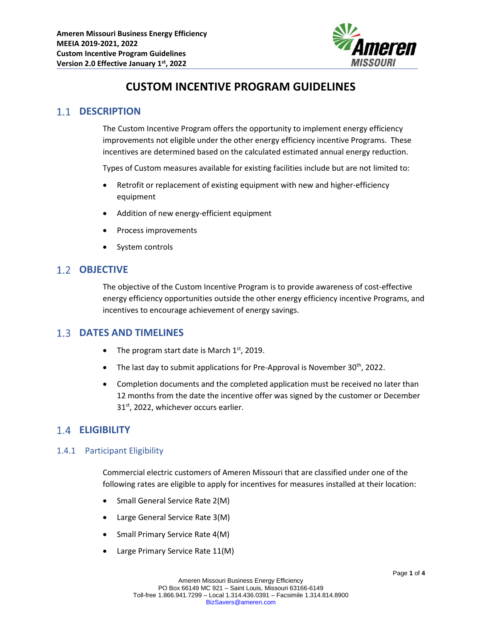

# **CUSTOM INCENTIVE PROGRAM GUIDELINES**

# **1.1 DESCRIPTION**

The Custom Incentive Program offers the opportunity to implement energy efficiency improvements not eligible under the other energy efficiency incentive Programs. These incentives are determined based on the calculated estimated annual energy reduction.

Types of Custom measures available for existing facilities include but are not limited to:

- Retrofit or replacement of existing equipment with new and higher-efficiency equipment
- Addition of new energy-efficient equipment
- Process improvements
- System controls

### 1.2 **OBJECTIVE**

The objective of the Custom Incentive Program is to provide awareness of cost-effective energy efficiency opportunities outside the other energy efficiency incentive Programs, and incentives to encourage achievement of energy savings.

### **DATES AND TIMELINES**

- The program start date is March  $1<sup>st</sup>$ , 2019.
- The last day to submit applications for Pre-Approval is November 30<sup>th</sup>, 2022.
- Completion documents and the completed application must be received no later than 12 months from the date the incentive offer was signed by the customer or December 31<sup>st</sup>, 2022, whichever occurs earlier.

## **ELIGIBILITY**

#### 1.4.1 Participant Eligibility

Commercial electric customers of Ameren Missouri that are classified under one of the following rates are eligible to apply for incentives for measures installed at their location:

- Small General Service Rate 2(M)
- Large General Service Rate 3(M)
- Small Primary Service Rate 4(M)
- Large Primary Service Rate 11(M)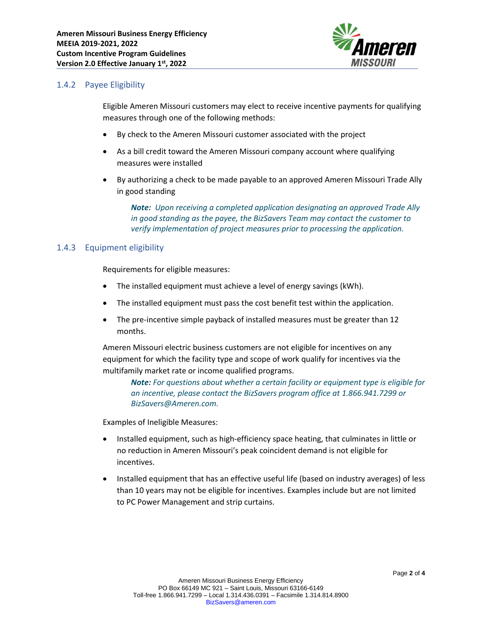

#### 1.4.2 Payee Eligibility

Eligible Ameren Missouri customers may elect to receive incentive payments for qualifying measures through one of the following methods:

- By check to the Ameren Missouri customer associated with the project
- As a bill credit toward the Ameren Missouri company account where qualifying measures were installed
- By authorizing a check to be made payable to an approved Ameren Missouri Trade Ally in good standing

*Note: Upon receiving a completed application designating an approved Trade Ally in good standing as the payee, the BizSavers Team may contact the customer to verify implementation of project measures prior to processing the application.*

#### 1.4.3 Equipment eligibility

Requirements for eligible measures:

- The installed equipment must achieve a level of energy savings (kWh).
- The installed equipment must pass the cost benefit test within the application.
- The pre-incentive simple payback of installed measures must be greater than 12 months.

Ameren Missouri electric business customers are not eligible for incentives on any equipment for which the facility type and scope of work qualify for incentives via the multifamily market rate or income qualified programs.

*Note: For questions about whether a certain facility or equipment type is eligible for an incentive, please contact the BizSavers program office at 1.866.941.7299 or BizSavers@Ameren.com.*

Examples of Ineligible Measures:

- Installed equipment, such as high-efficiency space heating, that culminates in little or no reduction in Ameren Missouri's peak coincident demand is not eligible for incentives.
- Installed equipment that has an effective useful life (based on industry averages) of less than 10 years may not be eligible for incentives. Examples include but are not limited to PC Power Management and strip curtains.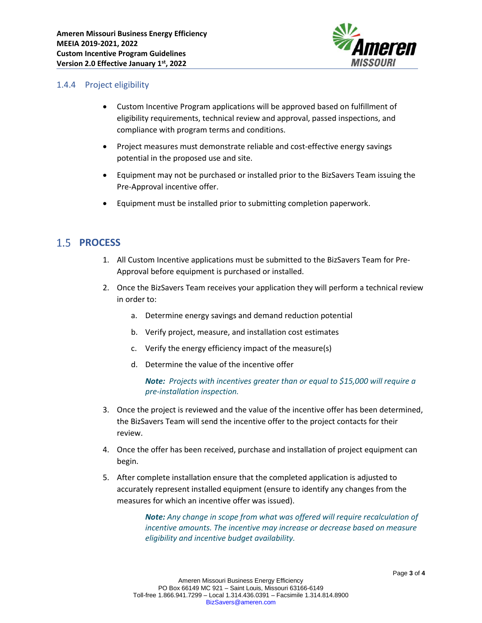

#### 1.4.4 Project eligibility

- Custom Incentive Program applications will be approved based on fulfillment of eligibility requirements, technical review and approval, passed inspections, and compliance with program terms and conditions.
- Project measures must demonstrate reliable and cost-effective energy savings potential in the proposed use and site.
- Equipment may not be purchased or installed prior to the BizSavers Team issuing the Pre-Approval incentive offer.
- Equipment must be installed prior to submitting completion paperwork.

# 1.5 **PROCESS**

- 1. All Custom Incentive applications must be submitted to the BizSavers Team for Pre-Approval before equipment is purchased or installed.
- 2. Once the BizSavers Team receives your application they will perform a technical review in order to:
	- a. Determine energy savings and demand reduction potential
	- b. Verify project, measure, and installation cost estimates
	- c. Verify the energy efficiency impact of the measure(s)
	- d. Determine the value of the incentive offer

*Note: Projects with incentives greater than or equal to \$15,000 will require a pre-installation inspection.*

- 3. Once the project is reviewed and the value of the incentive offer has been determined, the BizSavers Team will send the incentive offer to the project contacts for their review.
- 4. Once the offer has been received, purchase and installation of project equipment can begin.
- 5. After complete installation ensure that the completed application is adjusted to accurately represent installed equipment (ensure to identify any changes from the measures for which an incentive offer was issued).

*Note: Any change in scope from what was offered will require recalculation of incentive amounts. The incentive may increase or decrease based on measure eligibility and incentive budget availability.*